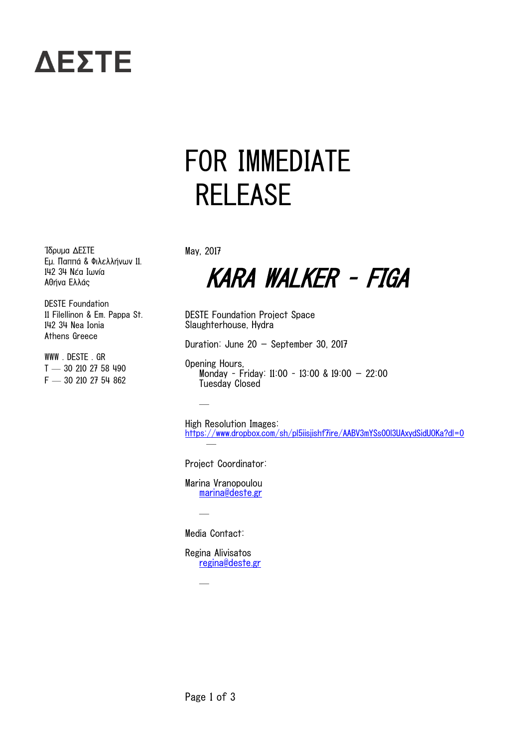## ΔΕΣΤΕ

## FOR IMMEDIATE RELEASE

Ίδρυµα ∆ΕΣΤΕ Εµ. Παππά & Φιλελλήνων 11. 142 34 Νέα Ιωνία ΑΘήνα Ελλάς

DESTE Foundation 11 Filellinon & Em. Pappa St. 142 34 Nea Ionia Athens Greece

WWW . DESTE . GR T — 30 210 27 58 490 F — 30 210 27 54 862

May, 2017

 $\overline{\phantom{0}}$ 

## KARA WALKER - FIGA

DESTE Foundation Project Space Slaughterhouse, Hydra

Duration: June 20 – September 30, 2017

Opening Hours, Monday - Friday: 11:00 - 13:00 & 19:00 – 22:00 Tuesday Closed

High Resolution Images: https://www.dropbox.com/sh/pl5iisjishf7ire/AABV3mYSs0Ol3UAxydSidUOKa?dl=0 —

Project Coordinator:

Marina Vranopoulou marina@deste.gr

Media Contact:

—

—

Regina Alivisatos regina@deste.gr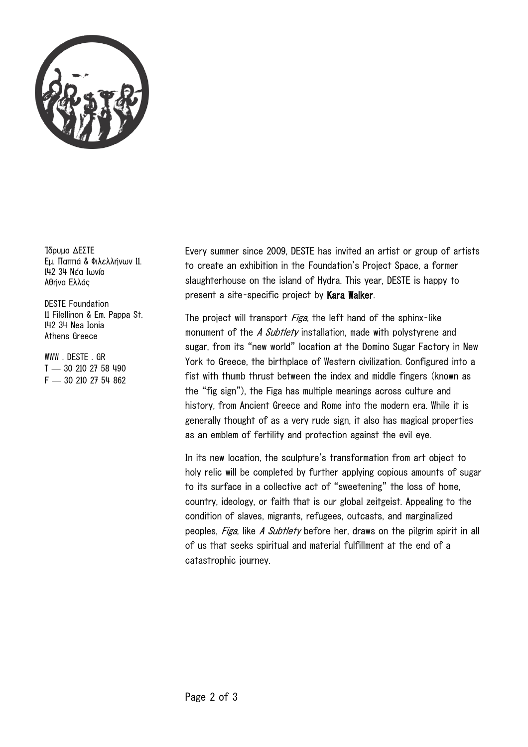

Ίδρυµα ∆ΕΣΤΕ Εµ. Παππά & Φιλελλήνων 11. 142 34 Νέα Ιωνία ΑΘήνα Ελλάς

DESTE Foundation 11 Filellinon & Em. Pappa St. 142 34 Nea Ionia Athens Greece

WWW . DESTE . GR T — 30 210 27 58 490 F — 30 210 27 54 862 Every summer since 2009, DESTE has invited an artist or group of artists to create an exhibition in the Foundation's Project Space, a former slaughterhouse on the island of Hydra. This year, DESTE is happy to present a site-specific project by Kara Walker.

The project will transport  $Figa$ , the left hand of the sphinx-like monument of the A Subtlety installation, made with polystyrene and sugar, from its "new world" location at the Domino Sugar Factory in New York to Greece, the birthplace of Western civilization. Configured into a fist with thumb thrust between the index and middle fingers (known as the "fig sign"), the Figa has multiple meanings across culture and history, from Ancient Greece and Rome into the modern era. While it is generally thought of as a very rude sign, it also has magical properties as an emblem of fertility and protection against the evil eye.

In its new location, the sculpture's transformation from art object to holy relic will be completed by further applying copious amounts of sugar to its surface in a collective act of "sweetening" the loss of home, country, ideology, or faith that is our global zeitgeist. Appealing to the condition of slaves, migrants, refugees, outcasts, and marginalized peoples, Figa, like A Subtlety before her, draws on the pilgrim spirit in all of us that seeks spiritual and material fulfillment at the end of a catastrophic journey.